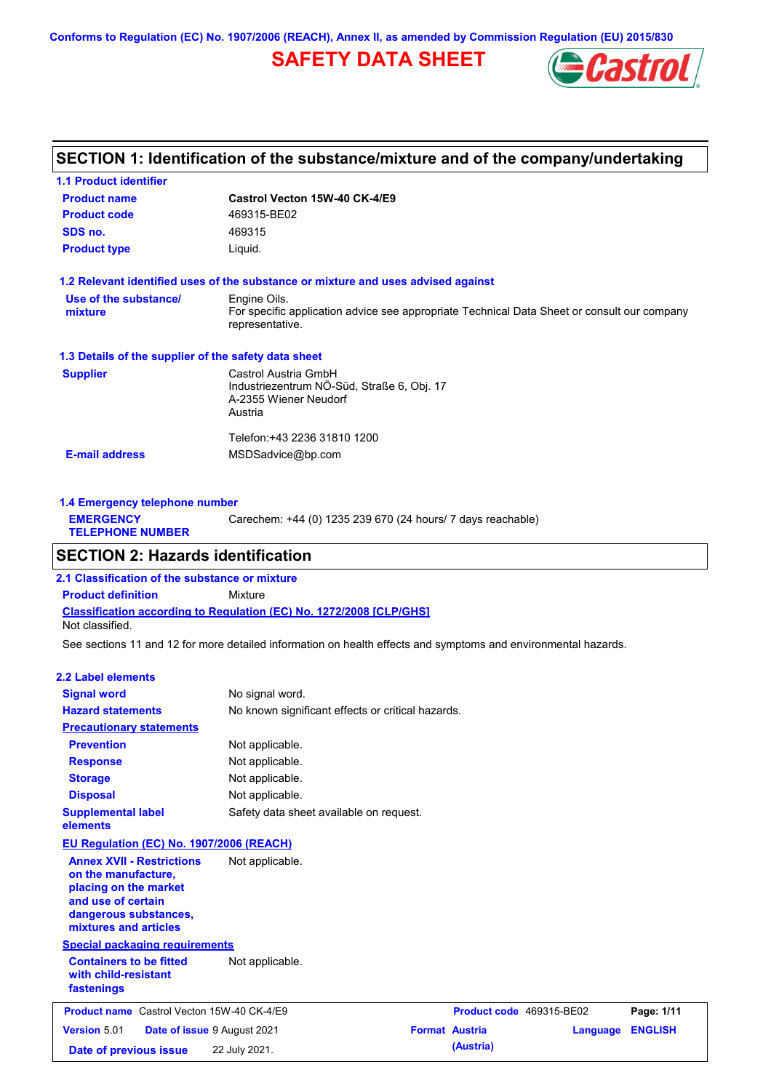**Conforms to Regulation (EC) No. 1907/2006 (REACH), Annex II, as amended by Commission Regulation (EU) 2015/830**

## **SAFETY DATA SHEET**



## **SECTION 1: Identification of the substance/mixture and of the company/undertaking**

| <b>1.1 Product identifier</b>                        |                                                                                                                |
|------------------------------------------------------|----------------------------------------------------------------------------------------------------------------|
| <b>Product name</b>                                  | Castrol Vecton 15W-40 CK-4/E9                                                                                  |
| <b>Product code</b>                                  | 469315-BE02                                                                                                    |
| SDS no.                                              | 469315                                                                                                         |
| <b>Product type</b>                                  | Liquid.                                                                                                        |
|                                                      | 1.2 Relevant identified uses of the substance or mixture and uses advised against                              |
| Use of the substance/                                | Engine Oils.                                                                                                   |
| mixture                                              | For specific application advice see appropriate Technical Data Sheet or consult our company<br>representative. |
| 1.3 Details of the supplier of the safety data sheet |                                                                                                                |
| <b>Supplier</b>                                      | Castrol Austria GmbH                                                                                           |
|                                                      | Industriezentrum NÖ-Süd, Straße 6, Obj. 17                                                                     |
|                                                      | A-2355 Wiener Neudorf                                                                                          |
|                                                      | Austria                                                                                                        |
|                                                      | Telefon: +43 2236 31810 1200                                                                                   |
| <b>E-mail address</b>                                | MSDSadvice@bp.com                                                                                              |
|                                                      |                                                                                                                |

| 1.4 Emergency telephone number              |                                                             |  |  |  |
|---------------------------------------------|-------------------------------------------------------------|--|--|--|
| <b>EMERGENCY</b><br><b>TELEPHONE NUMBER</b> | Carechem: +44 (0) 1235 239 670 (24 hours/ 7 days reachable) |  |  |  |
|                                             |                                                             |  |  |  |

## **SECTION 2: Hazards identification**

**Classification according to Regulation (EC) No. 1272/2008 [CLP/GHS] 2.1 Classification of the substance or mixture Product definition** Mixture Not classified.

See sections 11 and 12 for more detailed information on health effects and symptoms and environmental hazards.

### **2.2 Label elements**

| <b>Signal word</b><br><b>Hazard statements</b>                                                                                                           | No signal word.<br>No known significant effects or critical hazards. |                       |                          |          |                |
|----------------------------------------------------------------------------------------------------------------------------------------------------------|----------------------------------------------------------------------|-----------------------|--------------------------|----------|----------------|
| <b>Precautionary statements</b>                                                                                                                          |                                                                      |                       |                          |          |                |
| <b>Prevention</b>                                                                                                                                        | Not applicable.                                                      |                       |                          |          |                |
| <b>Response</b>                                                                                                                                          | Not applicable.                                                      |                       |                          |          |                |
| <b>Storage</b>                                                                                                                                           | Not applicable.                                                      |                       |                          |          |                |
| <b>Disposal</b>                                                                                                                                          | Not applicable.                                                      |                       |                          |          |                |
| <b>Supplemental label</b><br>elements                                                                                                                    | Safety data sheet available on request.                              |                       |                          |          |                |
| EU Regulation (EC) No. 1907/2006 (REACH)                                                                                                                 |                                                                      |                       |                          |          |                |
| <b>Annex XVII - Restrictions</b><br>on the manufacture,<br>placing on the market<br>and use of certain<br>dangerous substances,<br>mixtures and articles | Not applicable.                                                      |                       |                          |          |                |
| <b>Special packaging requirements</b>                                                                                                                    |                                                                      |                       |                          |          |                |
| <b>Containers to be fitted</b><br>with child-resistant<br>fastenings                                                                                     | Not applicable.                                                      |                       |                          |          |                |
| <b>Product name</b> Castrol Vecton 15W-40 CK-4/E9                                                                                                        |                                                                      |                       | Product code 469315-BE02 |          | Page: 1/11     |
| <b>Version 5.01</b>                                                                                                                                      | Date of issue 9 August 2021                                          | <b>Format Austria</b> |                          | Language | <b>ENGLISH</b> |
| Date of previous issue                                                                                                                                   | 22 July 2021.                                                        |                       | (Austria)                |          |                |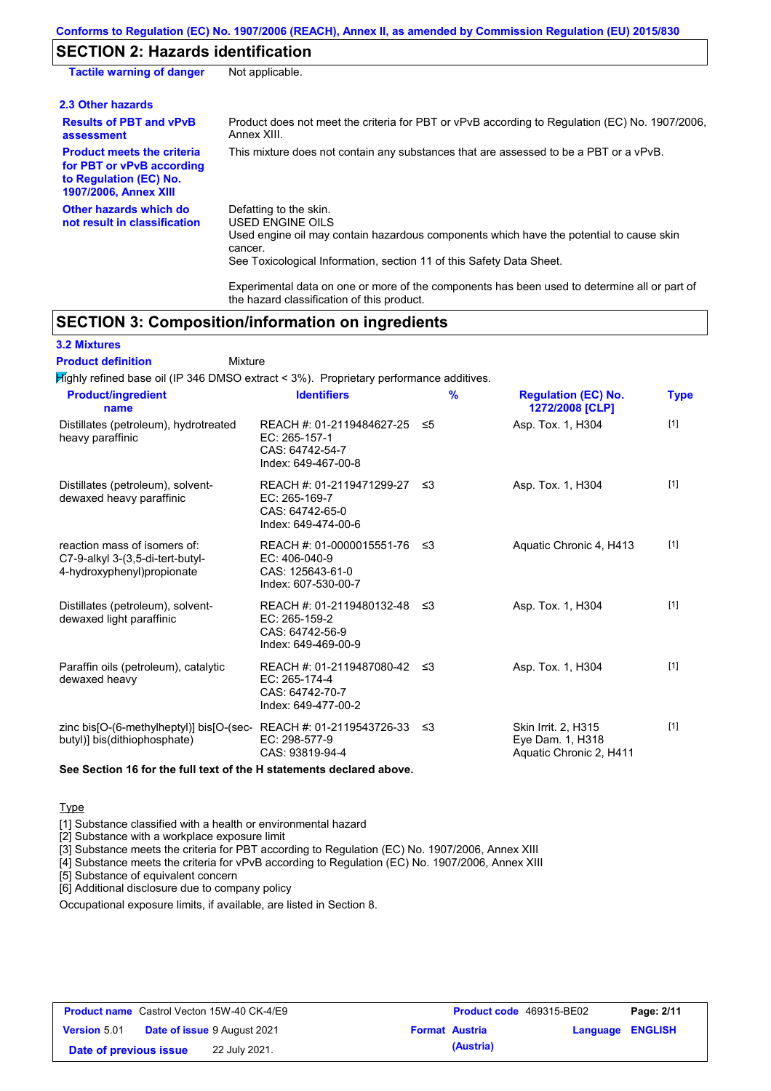## **SECTION 2: Hazards identification**

| <b>Tactile warning of danger</b>                                                                                         | Not applicable.                                                                                                                                                                                                          |
|--------------------------------------------------------------------------------------------------------------------------|--------------------------------------------------------------------------------------------------------------------------------------------------------------------------------------------------------------------------|
| 2.3 Other hazards                                                                                                        |                                                                                                                                                                                                                          |
| <b>Results of PBT and vPvB</b><br>assessment                                                                             | Product does not meet the criteria for PBT or vPvB according to Regulation (EC) No. 1907/2006,<br>Annex XIII.                                                                                                            |
| <b>Product meets the criteria</b><br>for PBT or vPvB according<br>to Regulation (EC) No.<br><b>1907/2006, Annex XIII</b> | This mixture does not contain any substances that are assessed to be a PBT or a vPvB.                                                                                                                                    |
| Other hazards which do<br>not result in classification                                                                   | Defatting to the skin.<br>USED ENGINE OILS<br>Used engine oil may contain hazardous components which have the potential to cause skin<br>cancer.<br>See Toxicological Information, section 11 of this Safety Data Sheet. |
|                                                                                                                          | For a share at all share are a consequently assessed as the set of the second to share and the second of the set of                                                                                                      |

Experimental data on one or more of the components has been used to determine all or part of the hazard classification of this product.

## **SECTION 3: Composition/information on ingredients**

**3.2 Mixtures**

Mixture **Product definition**

Highly refined base oil (IP 346 DMSO extract < 3%). Proprietary performance additives.

| <b>Product/ingredient</b><br>name                                                                    | <b>Identifiers</b>                                                                       |    | % | <b>Regulation (EC) No.</b><br>1272/2008 [CLP]                      | <b>Type</b> |
|------------------------------------------------------------------------------------------------------|------------------------------------------------------------------------------------------|----|---|--------------------------------------------------------------------|-------------|
| Distillates (petroleum), hydrotreated<br>heavy paraffinic                                            | REACH #: 01-2119484627-25<br>EC: 265-157-1<br>CAS: 64742-54-7<br>Index: 649-467-00-8     | ≤5 |   | Asp. Tox. 1, H304                                                  | $[1]$       |
| Distillates (petroleum), solvent-<br>dewaxed heavy paraffinic                                        | REACH #: 01-2119471299-27 ≤3<br>EC: 265-169-7<br>CAS: 64742-65-0<br>Index: 649-474-00-6  |    |   | Asp. Tox. 1, H304                                                  | $[1]$       |
| reaction mass of isomers of:<br>C7-9-alkyl 3-(3,5-di-tert-butyl-<br>4-hydroxyphenyl) propionate      | REACH #: 01-0000015551-76 ≤3<br>EC: 406-040-9<br>CAS: 125643-61-0<br>Index: 607-530-00-7 |    |   | Aquatic Chronic 4, H413                                            | $[1]$       |
| Distillates (petroleum), solvent-<br>dewaxed light paraffinic                                        | REACH #: 01-2119480132-48 ≤3<br>EC: 265-159-2<br>CAS: 64742-56-9<br>Index: 649-469-00-9  |    |   | Asp. Tox. 1, H304                                                  | $[1]$       |
| Paraffin oils (petroleum), catalytic<br>dewaxed heavy                                                | REACH #: 01-2119487080-42 ≤3<br>EC: 265-174-4<br>CAS: 64742-70-7<br>Index: 649-477-00-2  |    |   | Asp. Tox. 1, H304                                                  | $[1]$       |
| zinc bis[O-(6-methylheptyl)] bis[O-(sec-REACH #: 01-2119543726-33 ≤3<br>butyl)] bis(dithiophosphate) | EC: 298-577-9<br>CAS: 93819-94-4                                                         |    |   | Skin Irrit. 2, H315<br>Eye Dam. 1, H318<br>Aquatic Chronic 2, H411 | $[1]$       |

**See Section 16 for the full text of the H statements declared above.**

**Type** 

[1] Substance classified with a health or environmental hazard

[2] Substance with a workplace exposure limit

[3] Substance meets the criteria for PBT according to Regulation (EC) No. 1907/2006, Annex XIII

[4] Substance meets the criteria for vPvB according to Regulation (EC) No. 1907/2006, Annex XIII

[5] Substance of equivalent concern

[6] Additional disclosure due to company policy

Occupational exposure limits, if available, are listed in Section 8.

|                        | <b>Product name</b> Castrol Vecton 15W-40 CK-4/E9 | <b>Product code</b> 469315-BE02 |                         | Page: 2/11 |
|------------------------|---------------------------------------------------|---------------------------------|-------------------------|------------|
| <b>Version</b> 5.01    | <b>Date of issue 9 August 2021</b>                | <b>Format Austria</b>           | <b>Language ENGLISH</b> |            |
| Date of previous issue | 22 July 2021.                                     | (Austria)                       |                         |            |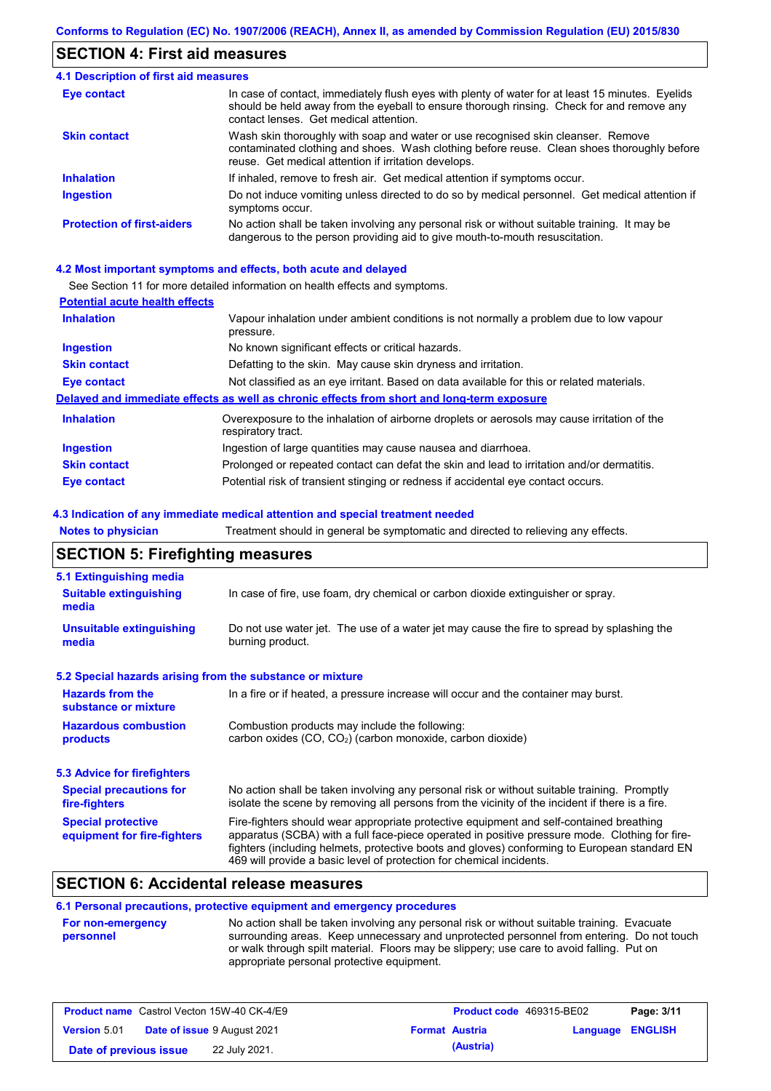### **SECTION 4: First aid measures**

#### Do not induce vomiting unless directed to do so by medical personnel. Get medical attention if symptoms occur. In case of contact, immediately flush eyes with plenty of water for at least 15 minutes. Eyelids should be held away from the eyeball to ensure thorough rinsing. Check for and remove any contact lenses. Get medical attention. **4.1 Description of first aid measures** If inhaled, remove to fresh air. Get medical attention if symptoms occur. **Ingestion Inhalation Eye contact Protection of first-aiders** No action shall be taken involving any personal risk or without suitable training. It may be dangerous to the person providing aid to give mouth-to-mouth resuscitation. **Skin contact** Wash skin thoroughly with soap and water or use recognised skin cleanser. Remove contaminated clothing and shoes. Wash clothing before reuse. Clean shoes thoroughly before reuse. Get medical attention if irritation develops.

#### **4.2 Most important symptoms and effects, both acute and delayed**

See Section 11 for more detailed information on health effects and symptoms.

| Vapour inhalation under ambient conditions is not normally a problem due to low vapour<br>pressure.               |
|-------------------------------------------------------------------------------------------------------------------|
| No known significant effects or critical hazards.                                                                 |
| Defatting to the skin. May cause skin dryness and irritation.                                                     |
| Not classified as an eye irritant. Based on data available for this or related materials.                         |
| Delayed and immediate effects as well as chronic effects from short and long-term exposure                        |
| Overexposure to the inhalation of airborne droplets or aerosols may cause irritation of the<br>respiratory tract. |
| Ingestion of large quantities may cause nausea and diarrhoea.                                                     |
| Prolonged or repeated contact can defat the skin and lead to irritation and/or dermatitis.                        |
| Potential risk of transient stinging or redness if accidental eye contact occurs.                                 |
|                                                                                                                   |

#### **4.3 Indication of any immediate medical attention and special treatment needed**

| <b>Notes to physician</b>                                 | Treatment should in general be symptomatic and directed to relieving any effects.                                                                                                                                                                                                                                                                                 |  |  |  |  |
|-----------------------------------------------------------|-------------------------------------------------------------------------------------------------------------------------------------------------------------------------------------------------------------------------------------------------------------------------------------------------------------------------------------------------------------------|--|--|--|--|
| <b>SECTION 5: Firefighting measures</b>                   |                                                                                                                                                                                                                                                                                                                                                                   |  |  |  |  |
| 5.1 Extinguishing media                                   |                                                                                                                                                                                                                                                                                                                                                                   |  |  |  |  |
| <b>Suitable extinguishing</b><br>media                    | In case of fire, use foam, dry chemical or carbon dioxide extinguisher or spray.                                                                                                                                                                                                                                                                                  |  |  |  |  |
| <b>Unsuitable extinguishing</b><br>media                  | Do not use water jet. The use of a water jet may cause the fire to spread by splashing the<br>burning product.                                                                                                                                                                                                                                                    |  |  |  |  |
| 5.2 Special hazards arising from the substance or mixture |                                                                                                                                                                                                                                                                                                                                                                   |  |  |  |  |
| <b>Hazards from the</b><br>substance or mixture           | In a fire or if heated, a pressure increase will occur and the container may burst.                                                                                                                                                                                                                                                                               |  |  |  |  |
| <b>Hazardous combustion</b><br>products                   | Combustion products may include the following:<br>carbon oxides (CO, CO <sub>2</sub> ) (carbon monoxide, carbon dioxide)                                                                                                                                                                                                                                          |  |  |  |  |
| 5.3 Advice for firefighters                               |                                                                                                                                                                                                                                                                                                                                                                   |  |  |  |  |
| <b>Special precautions for</b><br>fire-fighters           | No action shall be taken involving any personal risk or without suitable training. Promptly<br>isolate the scene by removing all persons from the vicinity of the incident if there is a fire.                                                                                                                                                                    |  |  |  |  |
| <b>Special protective</b><br>equipment for fire-fighters  | Fire-fighters should wear appropriate protective equipment and self-contained breathing<br>apparatus (SCBA) with a full face-piece operated in positive pressure mode. Clothing for fire-<br>fighters (including helmets, protective boots and gloves) conforming to European standard EN<br>469 will provide a basic level of protection for chemical incidents. |  |  |  |  |

### **SECTION 6: Accidental release measures**

### **6.1 Personal precautions, protective equipment and emergency procedures**

| <b>For non-emergency</b> | No action shall be taken involving any personal risk or without suitable training. Evacuate |
|--------------------------|---------------------------------------------------------------------------------------------|
| personnel                | surrounding areas. Keep unnecessary and unprotected personnel from entering. Do not touch   |
|                          | or walk through spilt material. Floors may be slippery; use care to avoid falling. Put on   |
|                          | appropriate personal protective equipment.                                                  |

|                        | <b>Product name</b> Castrol Vecton 15W-40 CK-4/E9 |                       | <b>Product code</b> 469315-BE02 |                  | Page: 3/11 |
|------------------------|---------------------------------------------------|-----------------------|---------------------------------|------------------|------------|
| <b>Version 5.01</b>    | <b>Date of issue 9 August 2021</b>                | <b>Format Austria</b> |                                 | Language ENGLISH |            |
| Date of previous issue | 22 July 2021.                                     |                       | (Austria)                       |                  |            |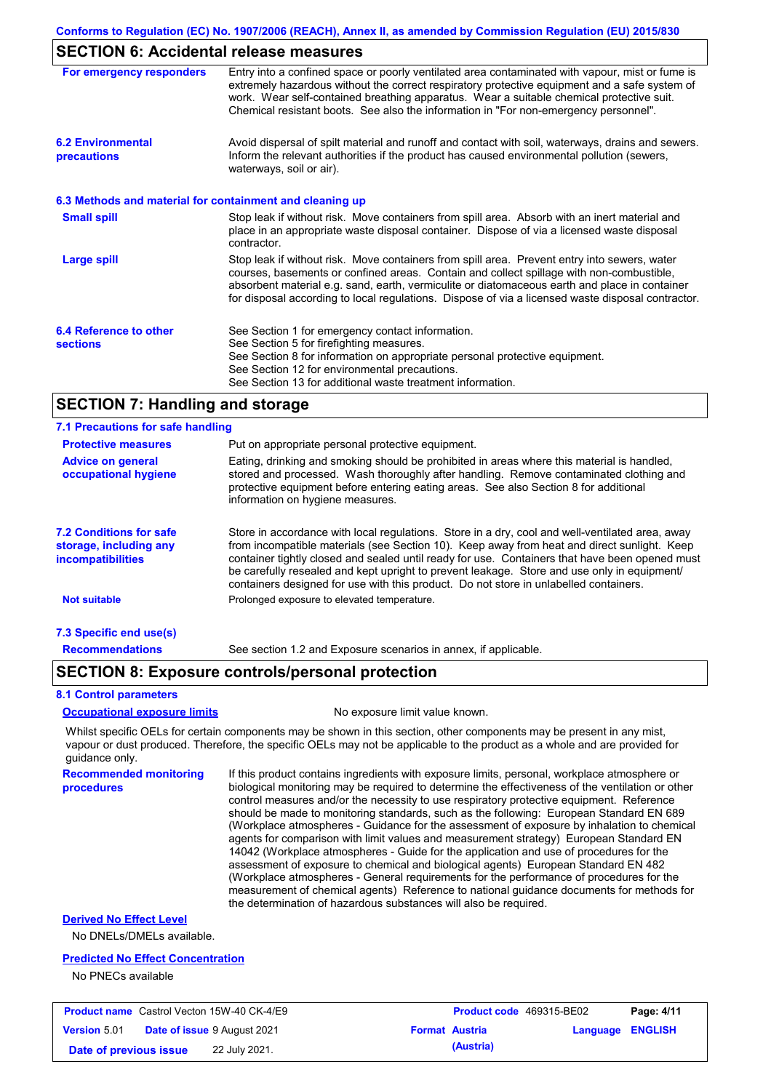### **SECTION 6: Accidental release measures**

| For emergency responders                                 | Entry into a confined space or poorly ventilated area contaminated with vapour, mist or fume is<br>extremely hazardous without the correct respiratory protective equipment and a safe system of<br>work. Wear self-contained breathing apparatus. Wear a suitable chemical protective suit.<br>Chemical resistant boots. See also the information in "For non-emergency personnel".           |
|----------------------------------------------------------|------------------------------------------------------------------------------------------------------------------------------------------------------------------------------------------------------------------------------------------------------------------------------------------------------------------------------------------------------------------------------------------------|
| <b>6.2 Environmental</b><br>precautions                  | Avoid dispersal of spilt material and runoff and contact with soil, waterways, drains and sewers.<br>Inform the relevant authorities if the product has caused environmental pollution (sewers,<br>waterways, soil or air).                                                                                                                                                                    |
| 6.3 Methods and material for containment and cleaning up |                                                                                                                                                                                                                                                                                                                                                                                                |
| <b>Small spill</b>                                       | Stop leak if without risk. Move containers from spill area. Absorb with an inert material and<br>place in an appropriate waste disposal container. Dispose of via a licensed waste disposal<br>contractor.                                                                                                                                                                                     |
| <b>Large spill</b>                                       | Stop leak if without risk. Move containers from spill area. Prevent entry into sewers, water<br>courses, basements or confined areas. Contain and collect spillage with non-combustible,<br>absorbent material e.g. sand, earth, vermiculite or diatomaceous earth and place in container<br>for disposal according to local regulations. Dispose of via a licensed waste disposal contractor. |
| 6.4 Reference to other<br><b>sections</b>                | See Section 1 for emergency contact information.<br>See Section 5 for firefighting measures.                                                                                                                                                                                                                                                                                                   |
|                                                          | See Section 8 for information on appropriate personal protective equipment.                                                                                                                                                                                                                                                                                                                    |
|                                                          | See Section 12 for environmental precautions.<br>See Section 13 for additional waste treatment information.                                                                                                                                                                                                                                                                                    |

### **SECTION 7: Handling and storage**

| 7.1 Precautions for safe handling                                                    |                                                                                                                                                                                                                                                                                                                                                                                                                                                                                          |
|--------------------------------------------------------------------------------------|------------------------------------------------------------------------------------------------------------------------------------------------------------------------------------------------------------------------------------------------------------------------------------------------------------------------------------------------------------------------------------------------------------------------------------------------------------------------------------------|
| <b>Protective measures</b>                                                           | Put on appropriate personal protective equipment.                                                                                                                                                                                                                                                                                                                                                                                                                                        |
| <b>Advice on general</b><br>occupational hygiene                                     | Eating, drinking and smoking should be prohibited in areas where this material is handled.<br>stored and processed. Wash thoroughly after handling. Remove contaminated clothing and<br>protective equipment before entering eating areas. See also Section 8 for additional<br>information on hygiene measures.                                                                                                                                                                         |
| <b>7.2 Conditions for safe</b><br>storage, including any<br><i>incompatibilities</i> | Store in accordance with local requiations. Store in a dry, cool and well-ventilated area, away<br>from incompatible materials (see Section 10). Keep away from heat and direct sunlight. Keep<br>container tightly closed and sealed until ready for use. Containers that have been opened must<br>be carefully resealed and kept upright to prevent leakage. Store and use only in equipment/<br>containers designed for use with this product. Do not store in unlabelled containers. |
| <b>Not suitable</b>                                                                  | Prolonged exposure to elevated temperature.                                                                                                                                                                                                                                                                                                                                                                                                                                              |
| 7.3 Specific end use(s)                                                              |                                                                                                                                                                                                                                                                                                                                                                                                                                                                                          |
| <b>Recommendations</b>                                                               | See section 1.2 and Exposure scenarios in annex, if applicable.                                                                                                                                                                                                                                                                                                                                                                                                                          |

### **SECTION 8: Exposure controls/personal protection**

#### **8.1 Control parameters**

#### **Occupational exposure limits** No exposure limit value known.

Whilst specific OELs for certain components may be shown in this section, other components may be present in any mist, vapour or dust produced. Therefore, the specific OELs may not be applicable to the product as a whole and are provided for guidance only.

**Recommended monitoring procedures** If this product contains ingredients with exposure limits, personal, workplace atmosphere or biological monitoring may be required to determine the effectiveness of the ventilation or other control measures and/or the necessity to use respiratory protective equipment. Reference should be made to monitoring standards, such as the following: European Standard EN 689 (Workplace atmospheres - Guidance for the assessment of exposure by inhalation to chemical agents for comparison with limit values and measurement strategy) European Standard EN 14042 (Workplace atmospheres - Guide for the application and use of procedures for the assessment of exposure to chemical and biological agents) European Standard EN 482 (Workplace atmospheres - General requirements for the performance of procedures for the measurement of chemical agents) Reference to national guidance documents for methods for the determination of hazardous substances will also be required.

### **Derived No Effect Level**

No DNELs/DMELs available.

#### **Predicted No Effect Concentration**

No PNECs available

| <b>Product name</b> Castrol Vecton 15W-40 CK-4/E9 |  |                                    | <b>Product code</b> 469315-BE02 |                       | Page: 4/11              |  |
|---------------------------------------------------|--|------------------------------------|---------------------------------|-----------------------|-------------------------|--|
| <b>Version 5.01</b>                               |  | <b>Date of issue 9 August 2021</b> |                                 | <b>Format Austria</b> | <b>Language ENGLISH</b> |  |
| Date of previous issue                            |  | 22 July 2021.                      |                                 | (Austria)             |                         |  |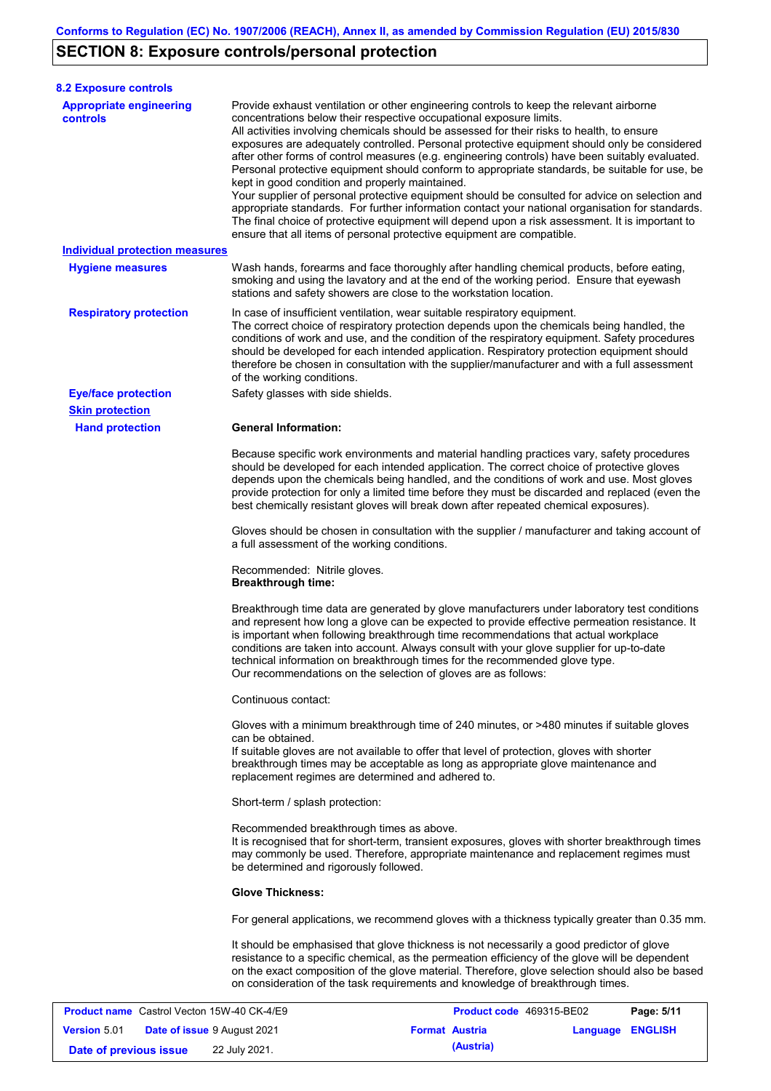# **SECTION 8: Exposure controls/personal protection**

**Version** 5.01

| <b>8.2 Exposure controls</b>                      |                                                                                                                                                                                                                                                                                                                                                                                                                                                                                                                                                                                                                                                                                                                                                                                                                                                                                                                                                                                                         |            |  |  |  |
|---------------------------------------------------|---------------------------------------------------------------------------------------------------------------------------------------------------------------------------------------------------------------------------------------------------------------------------------------------------------------------------------------------------------------------------------------------------------------------------------------------------------------------------------------------------------------------------------------------------------------------------------------------------------------------------------------------------------------------------------------------------------------------------------------------------------------------------------------------------------------------------------------------------------------------------------------------------------------------------------------------------------------------------------------------------------|------------|--|--|--|
| <b>Appropriate engineering</b><br><b>controls</b> | Provide exhaust ventilation or other engineering controls to keep the relevant airborne<br>concentrations below their respective occupational exposure limits.<br>All activities involving chemicals should be assessed for their risks to health, to ensure<br>exposures are adequately controlled. Personal protective equipment should only be considered<br>after other forms of control measures (e.g. engineering controls) have been suitably evaluated.<br>Personal protective equipment should conform to appropriate standards, be suitable for use, be<br>kept in good condition and properly maintained.<br>Your supplier of personal protective equipment should be consulted for advice on selection and<br>appropriate standards. For further information contact your national organisation for standards.<br>The final choice of protective equipment will depend upon a risk assessment. It is important to<br>ensure that all items of personal protective equipment are compatible. |            |  |  |  |
| <b>Individual protection measures</b>             |                                                                                                                                                                                                                                                                                                                                                                                                                                                                                                                                                                                                                                                                                                                                                                                                                                                                                                                                                                                                         |            |  |  |  |
| <b>Hygiene measures</b>                           | Wash hands, forearms and face thoroughly after handling chemical products, before eating,<br>smoking and using the lavatory and at the end of the working period. Ensure that eyewash<br>stations and safety showers are close to the workstation location.                                                                                                                                                                                                                                                                                                                                                                                                                                                                                                                                                                                                                                                                                                                                             |            |  |  |  |
| <b>Respiratory protection</b>                     | In case of insufficient ventilation, wear suitable respiratory equipment.<br>The correct choice of respiratory protection depends upon the chemicals being handled, the<br>conditions of work and use, and the condition of the respiratory equipment. Safety procedures<br>should be developed for each intended application. Respiratory protection equipment should<br>therefore be chosen in consultation with the supplier/manufacturer and with a full assessment<br>of the working conditions.                                                                                                                                                                                                                                                                                                                                                                                                                                                                                                   |            |  |  |  |
| <b>Eye/face protection</b>                        | Safety glasses with side shields.                                                                                                                                                                                                                                                                                                                                                                                                                                                                                                                                                                                                                                                                                                                                                                                                                                                                                                                                                                       |            |  |  |  |
| <b>Skin protection</b>                            |                                                                                                                                                                                                                                                                                                                                                                                                                                                                                                                                                                                                                                                                                                                                                                                                                                                                                                                                                                                                         |            |  |  |  |
| <b>Hand protection</b>                            | <b>General Information:</b><br>Because specific work environments and material handling practices vary, safety procedures<br>should be developed for each intended application. The correct choice of protective gloves<br>depends upon the chemicals being handled, and the conditions of work and use. Most gloves<br>provide protection for only a limited time before they must be discarded and replaced (even the<br>best chemically resistant gloves will break down after repeated chemical exposures).                                                                                                                                                                                                                                                                                                                                                                                                                                                                                         |            |  |  |  |
|                                                   | Gloves should be chosen in consultation with the supplier / manufacturer and taking account of<br>a full assessment of the working conditions.                                                                                                                                                                                                                                                                                                                                                                                                                                                                                                                                                                                                                                                                                                                                                                                                                                                          |            |  |  |  |
|                                                   | Recommended: Nitrile gloves.<br><b>Breakthrough time:</b>                                                                                                                                                                                                                                                                                                                                                                                                                                                                                                                                                                                                                                                                                                                                                                                                                                                                                                                                               |            |  |  |  |
|                                                   | Breakthrough time data are generated by glove manufacturers under laboratory test conditions<br>and represent how long a glove can be expected to provide effective permeation resistance. It<br>is important when following breakthrough time recommendations that actual workplace<br>conditions are taken into account. Always consult with your glove supplier for up-to-date<br>technical information on breakthrough times for the recommended glove type.<br>Our recommendations on the selection of gloves are as follows:                                                                                                                                                                                                                                                                                                                                                                                                                                                                      |            |  |  |  |
|                                                   | Continuous contact:                                                                                                                                                                                                                                                                                                                                                                                                                                                                                                                                                                                                                                                                                                                                                                                                                                                                                                                                                                                     |            |  |  |  |
|                                                   | Gloves with a minimum breakthrough time of 240 minutes, or >480 minutes if suitable gloves<br>can be obtained.<br>If suitable gloves are not available to offer that level of protection, gloves with shorter<br>breakthrough times may be acceptable as long as appropriate glove maintenance and<br>replacement regimes are determined and adhered to.                                                                                                                                                                                                                                                                                                                                                                                                                                                                                                                                                                                                                                                |            |  |  |  |
|                                                   | Short-term / splash protection:                                                                                                                                                                                                                                                                                                                                                                                                                                                                                                                                                                                                                                                                                                                                                                                                                                                                                                                                                                         |            |  |  |  |
|                                                   | Recommended breakthrough times as above.<br>It is recognised that for short-term, transient exposures, gloves with shorter breakthrough times<br>may commonly be used. Therefore, appropriate maintenance and replacement regimes must<br>be determined and rigorously followed.                                                                                                                                                                                                                                                                                                                                                                                                                                                                                                                                                                                                                                                                                                                        |            |  |  |  |
|                                                   | <b>Glove Thickness:</b>                                                                                                                                                                                                                                                                                                                                                                                                                                                                                                                                                                                                                                                                                                                                                                                                                                                                                                                                                                                 |            |  |  |  |
|                                                   | For general applications, we recommend gloves with a thickness typically greater than 0.35 mm.                                                                                                                                                                                                                                                                                                                                                                                                                                                                                                                                                                                                                                                                                                                                                                                                                                                                                                          |            |  |  |  |
|                                                   | It should be emphasised that glove thickness is not necessarily a good predictor of glove<br>resistance to a specific chemical, as the permeation efficiency of the glove will be dependent<br>on the exact composition of the glove material. Therefore, glove selection should also be based<br>on consideration of the task requirements and knowledge of breakthrough times.                                                                                                                                                                                                                                                                                                                                                                                                                                                                                                                                                                                                                        |            |  |  |  |
| <b>Product name</b> Castrol Vecton 15W-40 CK-4/E9 | Product code 469315-BE02                                                                                                                                                                                                                                                                                                                                                                                                                                                                                                                                                                                                                                                                                                                                                                                                                                                                                                                                                                                | Page: 5/11 |  |  |  |

**Date of issue** 9 August 2021 **Format Austria Language ENGLISH**

**Date of previous issue 22 July 2021. (Austria)**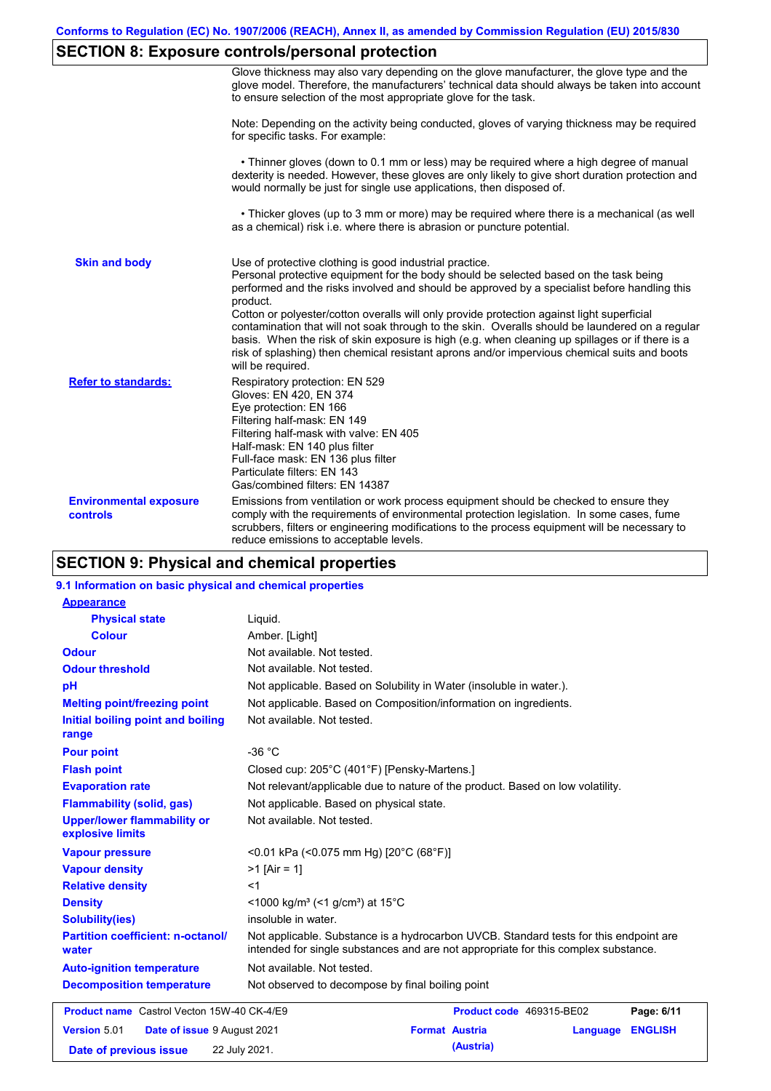## **SECTION 8: Exposure controls/personal protection**

|                                           | Glove thickness may also vary depending on the glove manufacturer, the glove type and the<br>glove model. Therefore, the manufacturers' technical data should always be taken into account<br>to ensure selection of the most appropriate glove for the task.                                                                                                                                                                                                                                                                                                                                                                                                                         |
|-------------------------------------------|---------------------------------------------------------------------------------------------------------------------------------------------------------------------------------------------------------------------------------------------------------------------------------------------------------------------------------------------------------------------------------------------------------------------------------------------------------------------------------------------------------------------------------------------------------------------------------------------------------------------------------------------------------------------------------------|
|                                           | Note: Depending on the activity being conducted, gloves of varying thickness may be required<br>for specific tasks. For example:                                                                                                                                                                                                                                                                                                                                                                                                                                                                                                                                                      |
|                                           | • Thinner gloves (down to 0.1 mm or less) may be required where a high degree of manual<br>dexterity is needed. However, these gloves are only likely to give short duration protection and<br>would normally be just for single use applications, then disposed of.                                                                                                                                                                                                                                                                                                                                                                                                                  |
|                                           | • Thicker gloves (up to 3 mm or more) may be required where there is a mechanical (as well<br>as a chemical) risk i.e. where there is abrasion or puncture potential.                                                                                                                                                                                                                                                                                                                                                                                                                                                                                                                 |
| <b>Skin and body</b>                      | Use of protective clothing is good industrial practice.<br>Personal protective equipment for the body should be selected based on the task being<br>performed and the risks involved and should be approved by a specialist before handling this<br>product.<br>Cotton or polyester/cotton overalls will only provide protection against light superficial<br>contamination that will not soak through to the skin. Overalls should be laundered on a regular<br>basis. When the risk of skin exposure is high (e.g. when cleaning up spillages or if there is a<br>risk of splashing) then chemical resistant aprons and/or impervious chemical suits and boots<br>will be required. |
| <b>Refer to standards:</b>                | Respiratory protection: EN 529<br>Gloves: EN 420, EN 374<br>Eye protection: EN 166<br>Filtering half-mask: EN 149<br>Filtering half-mask with valve: EN 405<br>Half-mask: EN 140 plus filter<br>Full-face mask: EN 136 plus filter<br>Particulate filters: EN 143<br>Gas/combined filters: EN 14387                                                                                                                                                                                                                                                                                                                                                                                   |
| <b>Environmental exposure</b><br>controls | Emissions from ventilation or work process equipment should be checked to ensure they<br>comply with the requirements of environmental protection legislation. In some cases, fume<br>scrubbers, filters or engineering modifications to the process equipment will be necessary to<br>reduce emissions to acceptable levels.                                                                                                                                                                                                                                                                                                                                                         |

## **SECTION 9: Physical and chemical properties**

### **9.1 Information on basic physical and chemical properties**

| <b>Appearance</b>                                      |                                                                                                                                                                             |                |
|--------------------------------------------------------|-----------------------------------------------------------------------------------------------------------------------------------------------------------------------------|----------------|
| <b>Physical state</b>                                  | Liquid.                                                                                                                                                                     |                |
| <b>Colour</b>                                          | Amber. [Light]                                                                                                                                                              |                |
| <b>Odour</b>                                           | Not available. Not tested.                                                                                                                                                  |                |
| <b>Odour threshold</b>                                 | Not available. Not tested.                                                                                                                                                  |                |
| pH                                                     | Not applicable. Based on Solubility in Water (insoluble in water.).                                                                                                         |                |
| <b>Melting point/freezing point</b>                    | Not applicable. Based on Composition/information on ingredients.                                                                                                            |                |
| Initial boiling point and boiling<br>range             | Not available. Not tested.                                                                                                                                                  |                |
| <b>Pour point</b>                                      | $-36 °C$                                                                                                                                                                    |                |
| <b>Flash point</b>                                     | Closed cup: 205°C (401°F) [Pensky-Martens.]                                                                                                                                 |                |
| <b>Evaporation rate</b>                                | Not relevant/applicable due to nature of the product. Based on low volatility.                                                                                              |                |
| <b>Flammability (solid, gas)</b>                       | Not applicable. Based on physical state.                                                                                                                                    |                |
| <b>Upper/lower flammability or</b><br>explosive limits | Not available. Not tested.                                                                                                                                                  |                |
| <b>Vapour pressure</b>                                 | <0.01 kPa (<0.075 mm Hg) [20°C (68°F)]                                                                                                                                      |                |
| <b>Vapour density</b>                                  | $>1$ [Air = 1]                                                                                                                                                              |                |
| <b>Relative density</b>                                | $<$ 1                                                                                                                                                                       |                |
| <b>Density</b>                                         | <1000 kg/m <sup>3</sup> (<1 g/cm <sup>3</sup> ) at 15 <sup>°</sup> C                                                                                                        |                |
| <b>Solubility(ies)</b>                                 | insoluble in water.                                                                                                                                                         |                |
| <b>Partition coefficient: n-octanol/</b><br>water      | Not applicable. Substance is a hydrocarbon UVCB. Standard tests for this endpoint are<br>intended for single substances and are not appropriate for this complex substance. |                |
| <b>Auto-ignition temperature</b>                       | Not available. Not tested.                                                                                                                                                  |                |
| <b>Decomposition temperature</b>                       | Not observed to decompose by final boiling point                                                                                                                            |                |
| <b>Product name</b> Castrol Vecton 15W-40 CK-4/E9      | Product code 469315-BE02                                                                                                                                                    | Page: 6/11     |
| Version 5.01<br>Date of issue 9 August 2021            | <b>Format Austria</b><br>Language                                                                                                                                           | <b>ENGLISH</b> |
| Date of previous issue                                 | (Austria)<br>22 July 2021.                                                                                                                                                  |                |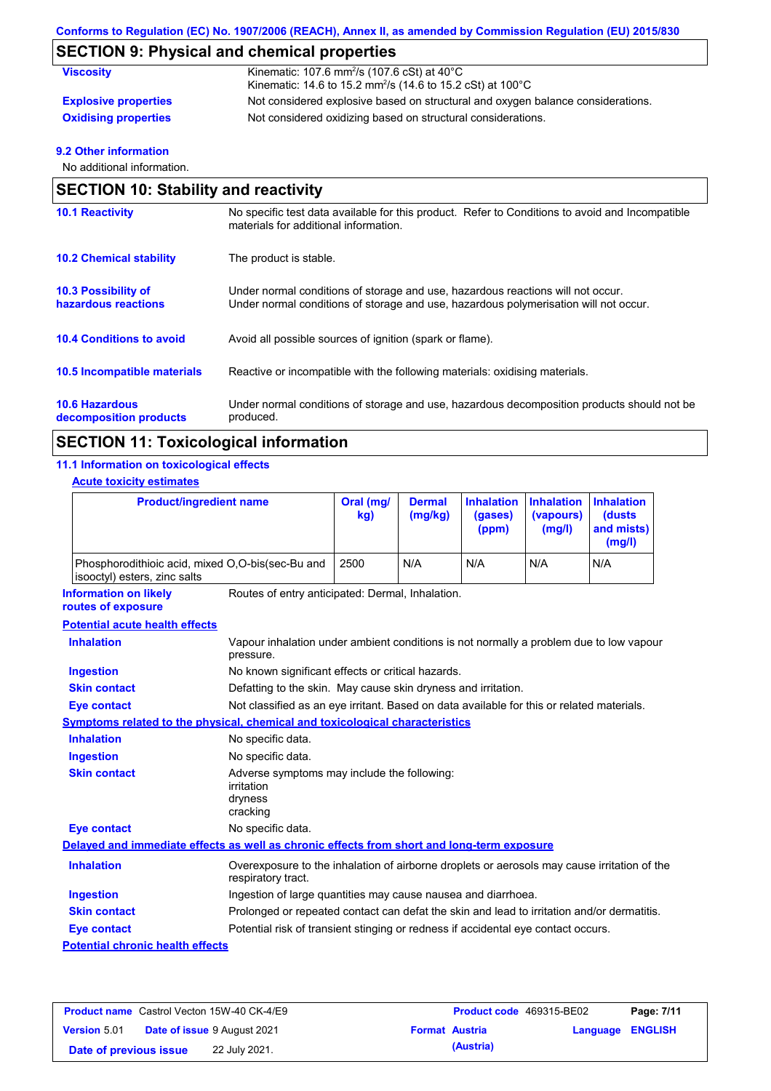# **SECTION 9: Physical and chemical properties**

| <b>Viscosity</b>            | Kinematic: 107.6 mm <sup>2</sup> /s (107.6 cSt) at $40^{\circ}$ C<br>Kinematic: 14.6 to 15.2 mm <sup>2</sup> /s (14.6 to 15.2 cSt) at 100°C |
|-----------------------------|---------------------------------------------------------------------------------------------------------------------------------------------|
| <b>Explosive properties</b> | Not considered explosive based on structural and oxygen balance considerations.                                                             |
| <b>Oxidising properties</b> | Not considered oxidizing based on structural considerations.                                                                                |

### **9.2 Other information**

No additional information.

| <b>SECTION 10: Stability and reactivity</b>       |                                                                                                                                                                         |  |  |
|---------------------------------------------------|-------------------------------------------------------------------------------------------------------------------------------------------------------------------------|--|--|
| <b>10.1 Reactivity</b>                            | No specific test data available for this product. Refer to Conditions to avoid and Incompatible<br>materials for additional information.                                |  |  |
| <b>10.2 Chemical stability</b>                    | The product is stable.                                                                                                                                                  |  |  |
| <b>10.3 Possibility of</b><br>hazardous reactions | Under normal conditions of storage and use, hazardous reactions will not occur.<br>Under normal conditions of storage and use, hazardous polymerisation will not occur. |  |  |
| <b>10.4 Conditions to avoid</b>                   | Avoid all possible sources of ignition (spark or flame).                                                                                                                |  |  |
| 10.5 Incompatible materials                       | Reactive or incompatible with the following materials: oxidising materials.                                                                                             |  |  |
| <b>10.6 Hazardous</b><br>decomposition products   | Under normal conditions of storage and use, hazardous decomposition products should not be<br>produced.                                                                 |  |  |

## **SECTION 11: Toxicological information**

### **11.1 Information on toxicological effects**

### **Acute toxicity estimates**

| <b>Product/ingredient name</b>                                                             |                                                                                                                   | Oral (mg/<br>kg) | <b>Dermal</b><br>(mg/kg) | <b>Inhalation</b><br>(gases)<br>(ppm) | <b>Inhalation</b><br>(vapours)<br>(mg/l) | <b>Inhalation</b><br><b>(dusts)</b><br>and mists)<br>(mg/l) |
|--------------------------------------------------------------------------------------------|-------------------------------------------------------------------------------------------------------------------|------------------|--------------------------|---------------------------------------|------------------------------------------|-------------------------------------------------------------|
| Phosphorodithioic acid, mixed O,O-bis(sec-Bu and<br>isooctyl) esters, zinc salts           |                                                                                                                   | 2500             | N/A                      | N/A                                   | N/A                                      | N/A                                                         |
| <b>Information on likely</b><br>routes of exposure                                         | Routes of entry anticipated: Dermal, Inhalation.                                                                  |                  |                          |                                       |                                          |                                                             |
| <b>Potential acute health effects</b>                                                      |                                                                                                                   |                  |                          |                                       |                                          |                                                             |
| <b>Inhalation</b>                                                                          | Vapour inhalation under ambient conditions is not normally a problem due to low vapour<br>pressure.               |                  |                          |                                       |                                          |                                                             |
| <b>Ingestion</b>                                                                           | No known significant effects or critical hazards.                                                                 |                  |                          |                                       |                                          |                                                             |
| <b>Skin contact</b>                                                                        | Defatting to the skin. May cause skin dryness and irritation.                                                     |                  |                          |                                       |                                          |                                                             |
| <b>Eye contact</b>                                                                         | Not classified as an eye irritant. Based on data available for this or related materials.                         |                  |                          |                                       |                                          |                                                             |
| Symptoms related to the physical, chemical and toxicological characteristics               |                                                                                                                   |                  |                          |                                       |                                          |                                                             |
| <b>Inhalation</b>                                                                          | No specific data.                                                                                                 |                  |                          |                                       |                                          |                                                             |
| <b>Ingestion</b>                                                                           | No specific data.                                                                                                 |                  |                          |                                       |                                          |                                                             |
| <b>Skin contact</b>                                                                        | Adverse symptoms may include the following:<br>irritation<br>dryness<br>cracking                                  |                  |                          |                                       |                                          |                                                             |
| <b>Eye contact</b>                                                                         | No specific data.                                                                                                 |                  |                          |                                       |                                          |                                                             |
| Delayed and immediate effects as well as chronic effects from short and long-term exposure |                                                                                                                   |                  |                          |                                       |                                          |                                                             |
| <b>Inhalation</b>                                                                          | Overexposure to the inhalation of airborne droplets or aerosols may cause irritation of the<br>respiratory tract. |                  |                          |                                       |                                          |                                                             |
| <b>Ingestion</b>                                                                           | Ingestion of large quantities may cause nausea and diarrhoea.                                                     |                  |                          |                                       |                                          |                                                             |
| <b>Skin contact</b>                                                                        | Prolonged or repeated contact can defat the skin and lead to irritation and/or dermatitis.                        |                  |                          |                                       |                                          |                                                             |
| <b>Eye contact</b>                                                                         | Potential risk of transient stinging or redness if accidental eye contact occurs.                                 |                  |                          |                                       |                                          |                                                             |
| <b>Potential chronic health effects</b>                                                    |                                                                                                                   |                  |                          |                                       |                                          |                                                             |

|                        | <b>Product name</b> Castrol Vecton 15W-40 CK-4/E9 | <b>Product code</b> 469315-BE02 |                         | Page: 7/11 |
|------------------------|---------------------------------------------------|---------------------------------|-------------------------|------------|
| <b>Version 5.01</b>    | <b>Date of issue 9 August 2021</b>                | <b>Format Austria</b>           | <b>Language ENGLISH</b> |            |
| Date of previous issue | 22 July 2021.                                     | (Austria)                       |                         |            |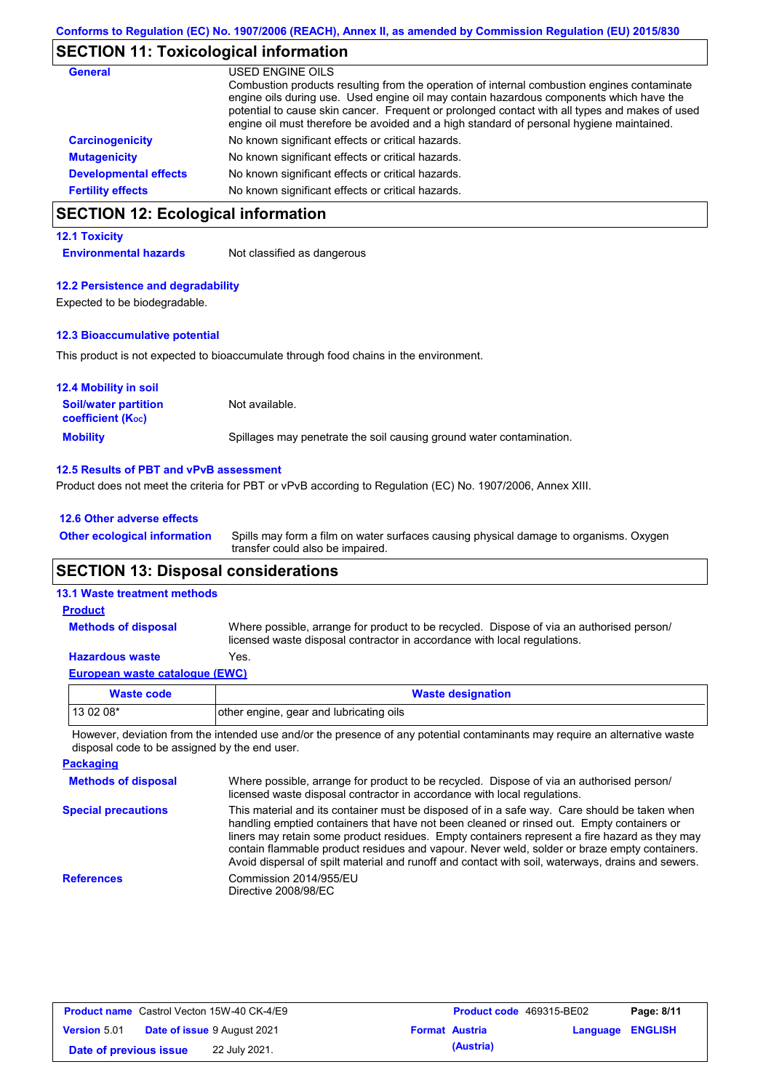## **SECTION 11: Toxicological information**

| General                      | USED ENGINE OILS<br>Combustion products resulting from the operation of internal combustion engines contaminate<br>engine oils during use. Used engine oil may contain hazardous components which have the<br>potential to cause skin cancer. Frequent or prolonged contact with all types and makes of used<br>engine oil must therefore be avoided and a high standard of personal hygiene maintained. |
|------------------------------|----------------------------------------------------------------------------------------------------------------------------------------------------------------------------------------------------------------------------------------------------------------------------------------------------------------------------------------------------------------------------------------------------------|
| <b>Carcinogenicity</b>       | No known significant effects or critical hazards.                                                                                                                                                                                                                                                                                                                                                        |
| <b>Mutagenicity</b>          | No known significant effects or critical hazards.                                                                                                                                                                                                                                                                                                                                                        |
| <b>Developmental effects</b> | No known significant effects or critical hazards.                                                                                                                                                                                                                                                                                                                                                        |
| <b>Fertility effects</b>     | No known significant effects or critical hazards.                                                                                                                                                                                                                                                                                                                                                        |

## **SECTION 12: Ecological information**

### **12.1 Toxicity**

**Environmental hazards** Not classified as dangerous

### **12.2 Persistence and degradability**

Expected to be biodegradable.

### **12.3 Bioaccumulative potential**

This product is not expected to bioaccumulate through food chains in the environment.

| <b>12.4 Mobility in soil</b>                                  |                                                                      |
|---------------------------------------------------------------|----------------------------------------------------------------------|
| <b>Soil/water partition</b><br>coefficient (K <sub>oc</sub> ) | Not available.                                                       |
| <b>Mobility</b>                                               | Spillages may penetrate the soil causing ground water contamination. |

### **12.5 Results of PBT and vPvB assessment**

Product does not meet the criteria for PBT or vPvB according to Regulation (EC) No. 1907/2006, Annex XIII.

### **12.6 Other adverse effects**

Spills may form a film on water surfaces causing physical damage to organisms. Oxygen transfer could also be impaired. **Other ecological information**

### **SECTION 13: Disposal considerations**

### **13.1 Waste treatment methods**

**Methods of disposal**

### **Product**

Where possible, arrange for product to be recycled. Dispose of via an authorised person/ licensed waste disposal contractor in accordance with local regulations.

### **Hazardous waste** Yes.

| <b>European waste catalogue (EWC)</b> |  |  |
|---------------------------------------|--|--|
|---------------------------------------|--|--|

| Waste code | <b>Waste designation</b>                 |
|------------|------------------------------------------|
| 13 02 08*  | lother engine, gear and lubricating oils |

However, deviation from the intended use and/or the presence of any potential contaminants may require an alternative waste disposal code to be assigned by the end user.

| <b>Packaging</b>           |                                                                                                                                                                                                                                                                                                                                                                                                                                                                                                 |
|----------------------------|-------------------------------------------------------------------------------------------------------------------------------------------------------------------------------------------------------------------------------------------------------------------------------------------------------------------------------------------------------------------------------------------------------------------------------------------------------------------------------------------------|
| <b>Methods of disposal</b> | Where possible, arrange for product to be recycled. Dispose of via an authorised person/<br>licensed waste disposal contractor in accordance with local regulations.                                                                                                                                                                                                                                                                                                                            |
| <b>Special precautions</b> | This material and its container must be disposed of in a safe way. Care should be taken when<br>handling emptied containers that have not been cleaned or rinsed out. Empty containers or<br>liners may retain some product residues. Empty containers represent a fire hazard as they may<br>contain flammable product residues and vapour. Never weld, solder or braze empty containers.<br>Avoid dispersal of spilt material and runoff and contact with soil, waterways, drains and sewers. |
| <b>References</b>          | Commission 2014/955/EU<br>Directive 2008/98/EC                                                                                                                                                                                                                                                                                                                                                                                                                                                  |

| <b>Product name</b> Castrol Vecton 15W-40 CK-4/E9 |  | <b>Product code</b> 469315-BE02    |  | Page: 8/11            |                         |  |
|---------------------------------------------------|--|------------------------------------|--|-----------------------|-------------------------|--|
| <b>Version 5.01</b>                               |  | <b>Date of issue 9 August 2021</b> |  | <b>Format Austria</b> | <b>Language ENGLISH</b> |  |
| Date of previous issue                            |  | 22 July 2021.                      |  | (Austria)             |                         |  |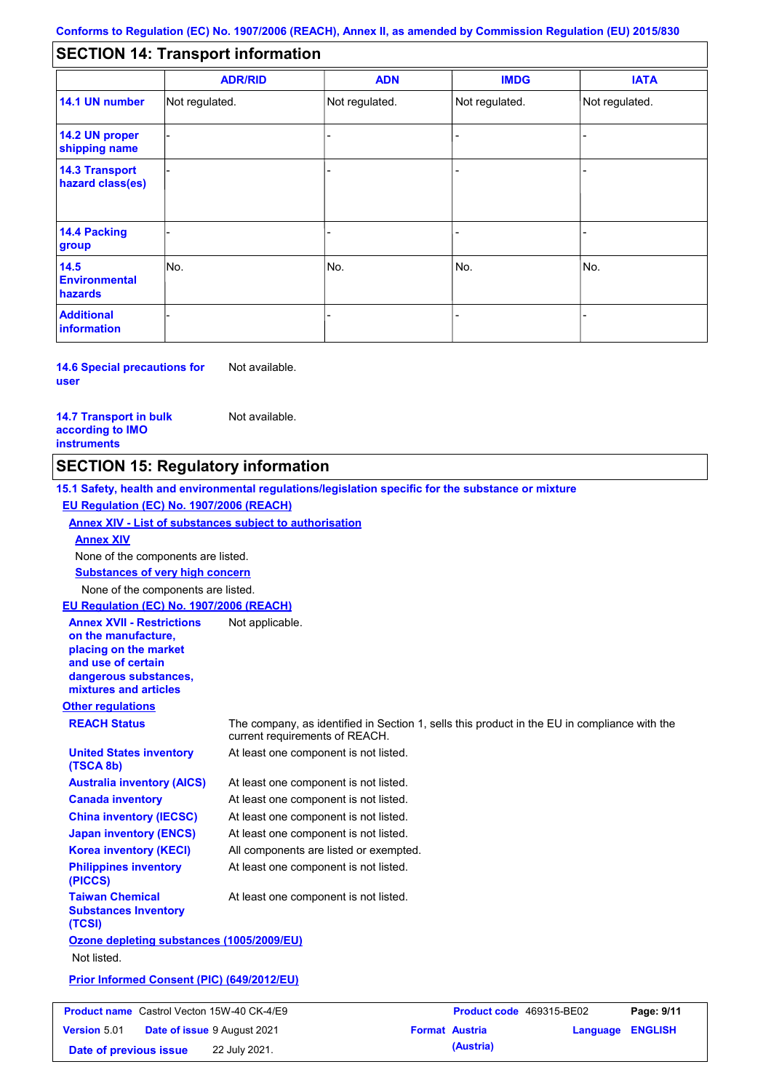#### - - - - - - - - - Not regulated. Not regulated. Not regulated. - - - **SECTION 14: Transport information ADR/RID IMDG IATA 14.1 UN number 14.2 UN proper shipping name 14.3 Transport hazard class(es) 14.4 Packing group ADN Additional information 14.5 Environmental hazards** No. 1988 | No. 1989 | No. 1989 | No. 1989 | No. 1989 | No. 1989 | No. 1989 | No. 1989 | No. 1989 | No. 1989 | Not regulated. - -<br>No. - -

**14.6 Special precautions for user** Not available.

**14.7 Transport in bulk according to IMO instruments**

Not available.

**Date of previous issue 22 July 2021. (Austria) (Austria)** 

## **SECTION 15: Regulatory information**

**Other regulations REACH Status** The company, as identified in Section 1, sells this product in the EU in compliance with the current requirements of REACH. **15.1 Safety, health and environmental regulations/legislation specific for the substance or mixture EU Regulation (EC) No. 1907/2006 (REACH) Annex XIV - List of substances subject to authorisation Substances of very high concern** None of the components are listed. At least one component is not listed. At least one component is not listed. At least one component is not listed. At least one component is not listed. At least one component is not listed. All components are listed or exempted. At least one component is not listed. **United States inventory (TSCA 8b) Australia inventory (AICS) Canada inventory China inventory (IECSC) Japan inventory (ENCS) Korea inventory (KECI) Philippines inventory (PICCS) Taiwan Chemical Substances Inventory (TCSI)** At least one component is not listed. **Ozone depleting substances (1005/2009/EU)** Not listed. **Prior Informed Consent (PIC) (649/2012/EU)** None of the components are listed. **Annex XIV EU Regulation (EC) No. 1907/2006 (REACH) Annex XVII - Restrictions on the manufacture, placing on the market and use of certain dangerous substances, mixtures and articles** Not applicable. **Product name** Castrol Vecton 15W-40 CK-4/E9 **Product Code 469315-BE02 Page: 9/11 Version** 5.01 **Date of issue** 9 August 2021 **Format Austria Language ENGLISH**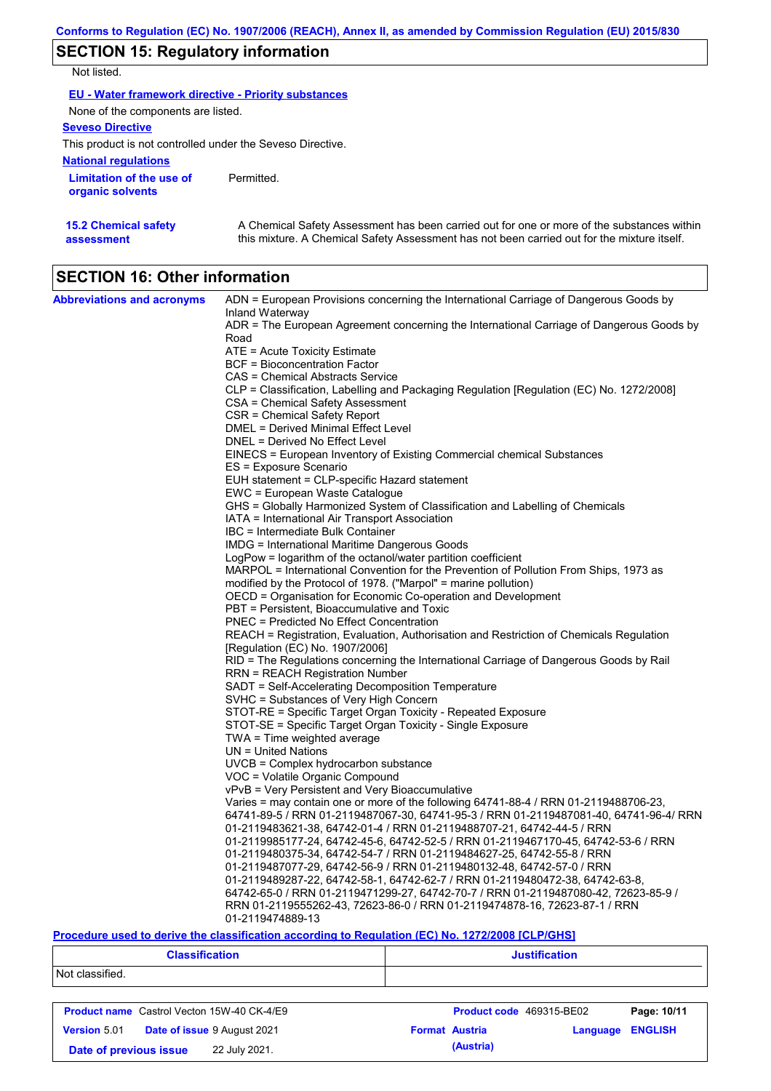## **SECTION 15: Regulatory information**

Not listed.

| <b>EU - Water framework directive - Priority substances</b> |                                                                                                                                                                                           |
|-------------------------------------------------------------|-------------------------------------------------------------------------------------------------------------------------------------------------------------------------------------------|
| None of the components are listed.                          |                                                                                                                                                                                           |
| <b>Seveso Directive</b>                                     |                                                                                                                                                                                           |
| This product is not controlled under the Seveso Directive.  |                                                                                                                                                                                           |
| <b>National regulations</b>                                 |                                                                                                                                                                                           |
| Limitation of the use of<br>organic solvents                | Permitted.                                                                                                                                                                                |
| <b>15.2 Chemical safety</b><br>assessment                   | A Chemical Safety Assessment has been carried out for one or more of the substances within<br>this mixture. A Chemical Safety Assessment has not been carried out for the mixture itself. |

# **SECTION 16: Other information**

| <b>Abbreviations and acronyms</b> | ADN = European Provisions concerning the International Carriage of Dangerous Goods by<br>Inland Waterway                        |
|-----------------------------------|---------------------------------------------------------------------------------------------------------------------------------|
|                                   | ADR = The European Agreement concerning the International Carriage of Dangerous Goods by                                        |
|                                   | Road                                                                                                                            |
|                                   | ATE = Acute Toxicity Estimate                                                                                                   |
|                                   | <b>BCF</b> = Bioconcentration Factor                                                                                            |
|                                   | CAS = Chemical Abstracts Service                                                                                                |
|                                   | CLP = Classification, Labelling and Packaging Regulation [Regulation (EC) No. 1272/2008]                                        |
|                                   | CSA = Chemical Safety Assessment                                                                                                |
|                                   | CSR = Chemical Safety Report                                                                                                    |
|                                   | DMEL = Derived Minimal Effect Level                                                                                             |
|                                   | DNEL = Derived No Effect Level                                                                                                  |
|                                   | EINECS = European Inventory of Existing Commercial chemical Substances                                                          |
|                                   | ES = Exposure Scenario                                                                                                          |
|                                   | EUH statement = CLP-specific Hazard statement                                                                                   |
|                                   | EWC = European Waste Catalogue                                                                                                  |
|                                   | GHS = Globally Harmonized System of Classification and Labelling of Chemicals<br>IATA = International Air Transport Association |
|                                   | IBC = Intermediate Bulk Container                                                                                               |
|                                   | IMDG = International Maritime Dangerous Goods                                                                                   |
|                                   | LogPow = logarithm of the octanol/water partition coefficient                                                                   |
|                                   | MARPOL = International Convention for the Prevention of Pollution From Ships, 1973 as                                           |
|                                   | modified by the Protocol of 1978. ("Marpol" = marine pollution)                                                                 |
|                                   | OECD = Organisation for Economic Co-operation and Development                                                                   |
|                                   | PBT = Persistent, Bioaccumulative and Toxic                                                                                     |
|                                   | <b>PNEC = Predicted No Effect Concentration</b>                                                                                 |
|                                   | REACH = Registration, Evaluation, Authorisation and Restriction of Chemicals Regulation                                         |
|                                   | [Regulation (EC) No. 1907/2006]                                                                                                 |
|                                   | RID = The Regulations concerning the International Carriage of Dangerous Goods by Rail                                          |
|                                   | <b>RRN = REACH Registration Number</b>                                                                                          |
|                                   | SADT = Self-Accelerating Decomposition Temperature                                                                              |
|                                   | SVHC = Substances of Very High Concern                                                                                          |
|                                   | STOT-RE = Specific Target Organ Toxicity - Repeated Exposure                                                                    |
|                                   | STOT-SE = Specific Target Organ Toxicity - Single Exposure                                                                      |
|                                   | $TWA = Time weighted average$                                                                                                   |
|                                   | UN = United Nations                                                                                                             |
|                                   | UVCB = Complex hydrocarbon substance                                                                                            |
|                                   | VOC = Volatile Organic Compound                                                                                                 |
|                                   | vPvB = Very Persistent and Very Bioaccumulative                                                                                 |
|                                   | Varies = may contain one or more of the following 64741-88-4 / RRN 01-2119488706-23,                                            |
|                                   | 64741-89-5 / RRN 01-2119487067-30, 64741-95-3 / RRN 01-2119487081-40, 64741-96-4/ RRN                                           |
|                                   | 01-2119483621-38, 64742-01-4 / RRN 01-2119488707-21, 64742-44-5 / RRN                                                           |
|                                   | 01-2119985177-24, 64742-45-6, 64742-52-5 / RRN 01-2119467170-45, 64742-53-6 / RRN                                               |
|                                   | 01-2119480375-34, 64742-54-7 / RRN 01-2119484627-25, 64742-55-8 / RRN                                                           |
|                                   | 01-2119487077-29, 64742-56-9 / RRN 01-2119480132-48, 64742-57-0 / RRN                                                           |
|                                   | 01-2119489287-22, 64742-58-1, 64742-62-7 / RRN 01-2119480472-38, 64742-63-8,                                                    |
|                                   | 64742-65-0 / RRN 01-2119471299-27, 64742-70-7 / RRN 01-2119487080-42, 72623-85-9 /                                              |
|                                   | RRN 01-2119555262-43, 72623-86-0 / RRN 01-2119474878-16, 72623-87-1 / RRN                                                       |
|                                   | 01-2119474889-13                                                                                                                |

### **Procedure used to derive the classification according to Regulation (EC) No. 1272/2008 [CLP/GHS]**

| <b>Classification</b> | <b>Justification</b> |
|-----------------------|----------------------|
| Not classified.       |                      |
|                       |                      |

| <b>Product name</b> Castrol Vecton 15W-40 CK-4/E9 |  |                                    | Product code 469315-BE02 | Page: 10/11 |                         |  |
|---------------------------------------------------|--|------------------------------------|--------------------------|-------------|-------------------------|--|
| <b>Version 5.01</b>                               |  | <b>Date of issue 9 August 2021</b> | <b>Format Austria</b>    |             | <b>Language ENGLISH</b> |  |
| Date of previous issue                            |  | 22 July 2021.                      |                          | (Austria)   |                         |  |